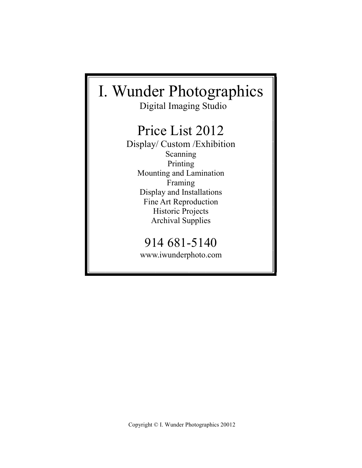# I. Wunder Photographics

Digital Imaging Studio

# Price List 2012

Display/ Custom /Exhibition Scanning Printing Mounting and Lamination Framing Display and Installations Fine Art Reproduction Historic Projects Archival Supplies

# 914 681-5140

www.iwunderphoto.com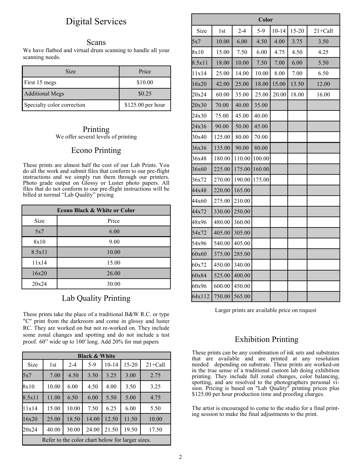## Digital Services

#### Scans

We have flatbed and virtual drum scanning to handle all your scanning needs.

| <b>Size</b>                | Price             |
|----------------------------|-------------------|
| First 15 megs              | \$10.00           |
| <b>Additional Megs</b>     | \$0.25            |
| Specialty color correction | \$125.00 per hour |

#### Printing We offer several levels of printing

### Econo Printing

These prints are almost half the cost of our Lab Prints. You do all the work and submit files that conform to our pre-flight instructions and we simply run them through our printers. Photo grade output on Glossy or Luster photo papers. All files that do not conform to our pre-flight instructions will be billed at normal "Lab Quality" pricing

| <b>Econo Black &amp; White or Color</b> |       |  |  |
|-----------------------------------------|-------|--|--|
| Size                                    | Price |  |  |
| 5x7                                     | 6.00  |  |  |
| 8x10                                    | 9.00  |  |  |
| 8.5x11                                  | 10.00 |  |  |
| 11x14                                   | 15.00 |  |  |
| 16x20                                   | 26.00 |  |  |
| 20x24                                   | 30.00 |  |  |

### Lab Quality Printing

These prints take the place of a traditional B&W R.C. or type "C" print from the darkroom and come in glossy and luster RC. They are worked on but not re-worked on. They include some zonal changes and spotting and do not include a test proof. 60" wide up to 100' long. Add 20% for mat papers

| <b>Black &amp; White</b>                         |                 |         |       |           |       |             |
|--------------------------------------------------|-----------------|---------|-------|-----------|-------|-------------|
| Size                                             | 1 <sub>st</sub> | $2 - 4$ | 5-9   | $10 - 14$ | 15-20 | $21 +$ Call |
| 5x7                                              | 7.00            | 4.50    | 3.50  | 3.25      | 3.00  | 2.75        |
| 8x10                                             | 10.00           | 6.00    | 4.50  | 4.00      | 3.50  | 3.25        |
| 8.5x11                                           | 11.00           | 6.50    | 6.00  | 5.50      | 5.00  | 4.75        |
| 11x14                                            | 15.00           | 10.00   | 7.50  | 6.25      | 6.00  | 5.50        |
| 16x20                                            | 25.00           | 18.50   | 14.00 | 12.50     | 11.50 | 10.00       |
| 20x24                                            | 40.00           | 30.00   | 24.00 | 21.50     | 19.50 | 17.50       |
| Refer to the color chart below for larger sizes. |                 |         |       |           |       |             |

| Color  |                 |         |        |           |           |             |
|--------|-----------------|---------|--------|-----------|-----------|-------------|
| Size   | 1 <sub>st</sub> | $2 - 4$ | $5-9$  | $10 - 14$ | $15 - 20$ | $21 +$ Call |
| 5x7    | 10.00           | 6.00    | 4.50   | 4.00      | 3.75      | 3.50        |
| 8x10   | 15.00           | 7.50    | 6.00   | 4.75      | 4.50      | 4.25        |
| 8.5x11 | 18.00           | 10.00   | 7.50   | 7.00      | 6.00      | 5.50        |
| 11x14  | 25.00           | 14.00   | 10.00  | 8.00      | 7.00      | 6.50        |
| 16x20  | 42.00           | 25.00   | 18.00  | 15.00     | 13.50     | 12.00       |
| 20x24  | 60.00           | 35.00   | 25.00  | 20.00     | 18.00     | 16.00       |
| 20x30  | 70.00           | 40.00   | 35.00  |           |           |             |
| 24x30  | 75.00           | 45.00   | 40.00  |           |           |             |
| 24x36  | 90.00           | 50.00   | 45.00  |           |           |             |
| 30x40  | 125.00          | 80.00   | 70.00  |           |           |             |
| 36x36  | 135.00          | 90.00   | 80.00  |           |           |             |
| 36x48  | 180.00          | 110.00  | 100.00 |           |           |             |
| 36x60  | 225.00          | 175.00  | 160.00 |           |           |             |
| 36x72  | 270.00          | 190.00  | 175.00 |           |           |             |
| 44x48  | 220.00          | 165.00  |        |           |           |             |
| 44x60  | 275.00          | 210.00  |        |           |           |             |
| 44x72  | 330.00          | 250.00  |        |           |           |             |
| 48x96  | 480.00          | 360.00  |        |           |           |             |
| 54x72  | 405.00          | 305.00  |        |           |           |             |
| 54x96  | 540.00          | 405.00  |        |           |           |             |
| 60x60  | 375.00          | 285.00  |        |           |           |             |
| 60x72  | 450.00          | 340.00  |        |           |           |             |
| 60x84  | 525.00          | 400.00  |        |           |           |             |
| 60x96  | 600.00          | 450.00  |        |           |           |             |
| 64x112 | 750.00          | 565.00  |        |           |           |             |

Larger prints are available price on request

### Exhibition Printing

These prints can be any combination of ink sets and substrates that are available and are printed at any resolution needed depending on substrate. These prints are worked-on in the true sense of a traditional custom lab doing exhibition printing. They include full zonal changes, color balancing, spotting, and are resolved to the photographers personal vision. Pricing is based on "Lab Quality" printing prices plus \$125.00 per hour production time and proofing charges.

The artist is encouraged to come to the studio for a final printing session to make the final adjustments to the print.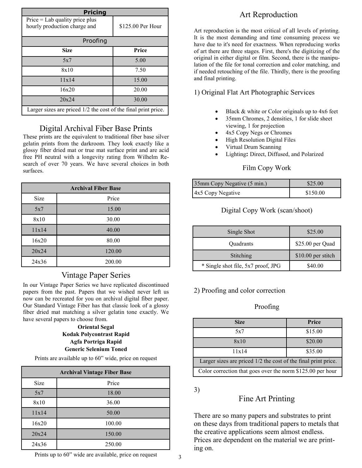| <b>Pricing</b>                                                   |                   |  |  |  |
|------------------------------------------------------------------|-------------------|--|--|--|
| $Price = Lab$ quality price plus<br>hourly production charge and | \$125.00 Per Hour |  |  |  |
| Proofing                                                         |                   |  |  |  |
| <b>Size</b>                                                      | Price             |  |  |  |
| 5x7                                                              | 5.00              |  |  |  |
| 8x10                                                             | 7.50              |  |  |  |
| 11x14                                                            | 15.00             |  |  |  |
| 16x20                                                            | 20.00             |  |  |  |
| 20x24                                                            | 30.00             |  |  |  |
| Larger sizes are priced 1/2 the cost of the final print price.   |                   |  |  |  |

### Digital Archival Fiber Base Prints

These prints are the equivalent to traditional fiber base silver gelatin prints from the darkroom. They look exactly like a glossy fiber dried mat or true mat surface print and are acid free PH neutral with a longevity rating from Wilhelm Research of over 70 years. We have several choices in both surfaces.

| <b>Archival Fiber Base</b> |        |  |  |
|----------------------------|--------|--|--|
| Size                       | Price  |  |  |
| 5x7                        | 15.00  |  |  |
| 8x10                       | 30.00  |  |  |
| 11x14                      | 40.00  |  |  |
| 16x20                      | 80.00  |  |  |
| 20x24                      | 120.00 |  |  |
| 24x36                      | 200.00 |  |  |

### Vintage Paper Series

In our Vintage Paper Series we have replicated discontinued papers from the past. Papers that we wished never left us now can be recreated for you on archival digital fiber paper. Our Standard Vintage Fiber has that classic look of a glossy fiber dried mat matching a silver gelatin tone exactly. We have several papers to choose from.

#### **Oriental Segal Kodak Polycontrast Rapid Agfa Portriga Rapid Generic Selenium Toned**

Prints are available up to 60" wide, price on request

| <b>Archival Vintage Fiber Base</b> |        |  |  |
|------------------------------------|--------|--|--|
| Size                               | Price  |  |  |
| 5x7                                | 18.00  |  |  |
| 8x10                               | 36.00  |  |  |
| 11x14                              | 50.00  |  |  |
| 16x20                              | 100.00 |  |  |
| 20x24                              | 150.00 |  |  |
| 24x36                              | 250.00 |  |  |

### Prints up to  $60$ " wide are available, price on request  $\frac{3}{3}$

# Art Reproduction

Art reproduction is the most critical of all levels of printing. It is the most demanding and time consuming process we have due to it's need for exactness. When reproducing works of art there are three stages. First, there's the digitizing of the original in either digital or film. Second, there is the manipulation of the file for tonal correction and color matching, and if needed retouching of the file. Thirdly, there is the proofing and final printing.

### 1) Original Flat Art Photographic Services

- Black & white or Color originals up to 4x6 feet
- 35mm Chromes, 2 densities, 1 for slide sheet viewing, 1 for projection
- 4x5 Copy Negs or Chromes
- High Resolution Digital Files
- Virtual Drum Scanning
- Lighting**:** Direct, Diffused, and Polarized

### Film Copy Work

| 35mm Copy Negative (5 min.) | \$25.00  |
|-----------------------------|----------|
| 4x5 Copy Negative           | \$150.00 |

### Digital Copy Work (scan/shoot)

| Single Shot                        | \$25.00            |
|------------------------------------|--------------------|
| <b>Ouadrants</b>                   | \$25.00 per Quad   |
| Stitching                          | \$10.00 per stitch |
| * Single shot file, 5x7 proof, JPG | \$40.00            |

### 2) Proofing and color correction

### Proofing

| <b>Size</b>                                                    | Price   |  |  |
|----------------------------------------------------------------|---------|--|--|
| 5x7                                                            | \$15.00 |  |  |
| 8x10                                                           | \$20.00 |  |  |
| 11x14                                                          | \$35.00 |  |  |
| Larger sizes are priced 1/2 the cost of the final print price. |         |  |  |
| Color correction that goes over the norm \$125.00 per hour     |         |  |  |

3)

### Fine Art Printing

There are so many papers and substrates to print on these days from traditional papers to metals that the creative applications seem almost endless. Prices are dependent on the material we are printing on.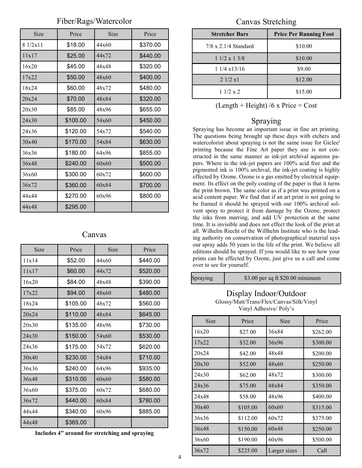### Fiber/Rags/Watercolor

| Size    | Price    | Size  | Price    |
|---------|----------|-------|----------|
| 81/2x11 | \$18.00  | 44x60 | \$370.00 |
| 11x17   | \$25.00  | 44x72 | \$440.00 |
| 16x20   | \$45.00  | 48x48 | \$320.00 |
| 17x22   | \$50.00  | 48x60 | \$400.00 |
| 18x24   | \$60.00  | 48x72 | \$480.00 |
| 20x24   | \$70.00  | 48x84 | \$320.00 |
| 20x30   | \$85.00  | 48x96 | \$655.00 |
| 24x30   | \$100.00 | 54x60 | \$450.00 |
| 24x36   | \$120.00 | 54x72 | \$540.00 |
| 30x40   | \$170.00 | 54x84 | \$630.00 |
| 36x36   | \$180.00 | 64x96 | \$855.00 |
| 36x48   | \$240.00 | 60x60 | \$500.00 |
| 36x60   | \$300.00 | 60x72 | \$600.00 |
| 36x72   | \$360.00 | 60x84 | \$700.00 |
| 44x44   | \$270.00 | 60x96 | \$800.00 |
| 44x48   | \$295.00 |       |          |

#### Canvas

| Size  | Price    | <b>Size</b> | Price    |
|-------|----------|-------------|----------|
| 11x14 | \$52.00  | 44x60       | \$440.00 |
| 11x17 | \$60.00  | 44x72       | \$520.00 |
| 16x20 | \$84.00  | 48x48       | \$390.00 |
| 17x22 | \$94.00  | 48x60       | \$480.00 |
| 18x24 | \$105.00 | 48x72       | \$560.00 |
| 20x24 | \$110.00 | 48x84       | \$645.00 |
| 20x30 | \$135.00 | 48x96       | \$730.00 |
| 24x30 | \$150.00 | 54x60       | \$530.00 |
| 24x36 | \$175.00 | 54x72       | \$620.00 |
| 30x40 | \$230.00 | 54x84       | \$710.00 |
| 36x36 | \$240.00 | 64x96       | \$935.00 |
| 36x48 | \$310.00 | 60x60       | \$580.00 |
| 36x60 | \$375.00 | 60x72       | \$680.00 |
| 36x72 | \$440.00 | 60x84       | \$780.00 |
| 44x44 | \$340.00 | 60x96       | \$885.00 |
| 44x48 | \$365.00 |             |          |

Canvas Stretching

| <b>Stretcher Bars</b>       | <b>Price Per Running Foot</b> |
|-----------------------------|-------------------------------|
| $7/8 \times 2.1/4$ Standard | \$10.00                       |
| $11/2 \times 13/8$          | \$10.00                       |
| $11/4 \times 13/16$         | \$9.00                        |
| 21/2 x1                     | \$12.00                       |
| 11/2 x 2                    | \$15.00                       |

 $(Length + Height)$  /6 x Price = Cost

### Spraying

Spraying has become an important issue in fine art printing. The questions being brought up these days with etchers and watercolorist about spraying is not the same issue for Giclee' printing because the Fine Art paper they use is not constructed in the same manner as ink-jet archival aqueous papers. Where in the ink-jet papers are 100% acid free and the pigmented ink is 100% archival, the ink-jet coating is highly effected by Ozone. Ozone is a gas emitted by electrical equipment. Its effect on the poly coating of the paper is that it turns the print brown. The same color as if a print was printed on a acid content paper. We find that if an art print is not going to be framed it should be sprayed with our 100% archival solvent spray to protect it from damage by the Ozone, protect the inks from marring, and add UV protection at the same time. It is invisible and does not effect the look of the print at all. Wilhelm Riecht of the Willhelm Institute who is the leading authority on conservation of photographical material says our spray adds 50 years to the life of the print. We believe all editions should be sprayed. If you would like to see how your prints can be effected by Ozone, just give us a call and come over to see for yourself.

| Spraying | \$3.00 per sq ft $$20.00$ minimum |
|----------|-----------------------------------|
|          |                                   |

### Display Indoor/Outdoor

Glossy/Matt/Trans/Flex/Canvas/Silk/Vinyl Vinyl Adhesive/ Poly's

| <b>Size</b> | Price    | Size         | Price    |
|-------------|----------|--------------|----------|
| 16x20       | \$27.00  | 36x84        | \$262.00 |
| 17x22       | \$32.00  | 36x96        | \$300.00 |
| 20x24       | \$42.00  | 48x48        | \$200.00 |
| 20x30       | \$52.00  | 48x60        | \$250.00 |
| 24x30       | \$62.00  | 48x72        | \$300.00 |
| 24x36       | \$75.00  | 48x84        | \$350.00 |
| 24x48       | \$58.00  | 48x96        | \$400.00 |
| 30x40       | \$105.00 | 60x60        | \$315.00 |
| 36x36       | \$112.00 | 60x72        | \$375.00 |
| 36x48       | \$150.00 | 60x48        | \$250.00 |
| 36x60       | \$190.00 | 60x96        | \$500.00 |
| 36x72       | \$225.00 | Larger sizes | Call     |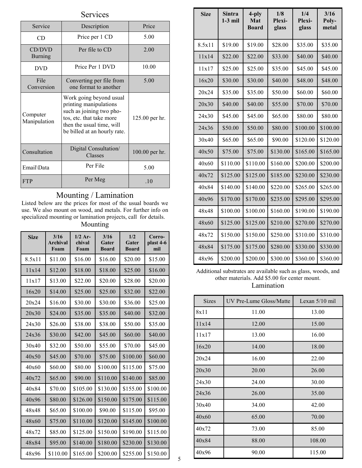| Services                 |                                                                                                                                                                        |                |  |  |
|--------------------------|------------------------------------------------------------------------------------------------------------------------------------------------------------------------|----------------|--|--|
| Service                  | Description                                                                                                                                                            | Price          |  |  |
| CD                       | Price per 1 CD                                                                                                                                                         | 5.00           |  |  |
| CD/DVD<br><b>Burning</b> | Per file to CD                                                                                                                                                         | 2.00           |  |  |
| <b>DVD</b>               | Price Per 1 DVD                                                                                                                                                        | 10.00          |  |  |
| File<br>Conversion       | Converting per file from<br>one format to another                                                                                                                      | 5.00           |  |  |
| Computer<br>Manipulation | Work going beyond usual<br>printing manipulations<br>such as joining two pho-<br>tos, etc. that take more<br>then the usual time, will<br>be billed at an hourly rate. | 125.00 per hr. |  |  |
| Consultation             | Digital Consultation/<br>Classes                                                                                                                                       | 100.00 per hr. |  |  |
| Email\Data               | Per File                                                                                                                                                               | 5.00           |  |  |
| <b>FTP</b>               | Per Meg                                                                                                                                                                | .10            |  |  |

### Mounting / Lamination

L

Listed below are the prices for most of the usual boards we use. We also mount on wood, and metals. For further info on specialized mounting or lamination projects, call for details.

### Mounting

| <b>Size</b> | 3/16<br><b>Archival</b><br>Foam | $1/2$ Ar-<br>chival<br>Foam | 3/16<br>Gater<br><b>Board</b> | 1/2<br>Gater<br><b>Board</b> | Corro-<br>plast 4-6<br>mil |
|-------------|---------------------------------|-----------------------------|-------------------------------|------------------------------|----------------------------|
| 8.5x11      | \$11.00                         | \$16.00                     | \$16.00                       | \$20.00                      | \$15.00                    |
| 11x14       | \$12.00                         | \$18.00                     | \$18.00                       | \$25.00                      | \$16.00                    |
| 11x17       | \$13.00                         | \$22.00                     | \$20.00                       | \$28.00                      | \$20.00                    |
| 16x20       | \$14.00                         | \$25.00                     | \$25.00                       | \$32.00                      | \$22.00                    |
| 20x24       | \$16.00                         | \$30.00                     | \$30.00                       | \$36.00                      | \$25.00                    |
| 20x30       | \$24.00                         | \$35.00                     | \$35.00                       | \$40.00                      | \$32.00                    |
| 24x30       | \$26.00                         | \$38.00                     | \$38.00                       | \$50.00                      | \$35.00                    |
| 24x36       | \$30.00                         | \$42.00                     | \$45.00                       | \$60.00                      | \$40.00                    |
| 30x40       | \$32.00                         | \$50.00                     | \$55.00                       | \$70.00                      | \$45.00                    |
| 40x50       | \$45.00                         | \$70.00                     | \$75.00                       | \$100.00                     | \$60.00                    |
| 40x60       | \$60.00                         | \$80.00                     | \$100.00                      | \$115.00                     | \$75.00                    |
| 40x72       | \$65.00                         | \$90.00                     | \$110.00                      | \$140.00                     | \$85.00                    |
| 40x84       | \$70.00                         | \$105.00                    | \$130.00                      | \$155.00                     | \$100.00                   |
| 40x96       | \$80.00                         | \$126.00                    | \$150.00                      | \$175.00                     | \$115.00                   |
| 48x48       | \$65.00                         | \$100.00                    | \$90.00                       | \$115.00                     | \$95.00                    |
| 48x60       | \$75.00                         | \$110.00                    | \$120.00                      | \$145.00                     | \$100.00                   |
| 48x72       | \$85.00                         | \$125.00                    | \$150.00                      | \$190.00                     | \$115.00                   |
| 48x84       | \$95.00                         | \$140.00                    | \$180.00                      | \$230.00                     | \$130.00                   |
| 48x96       | \$110.00                        | \$165.00                    | \$200.00                      | \$255.00                     | \$150.00                   |

| <b>Size</b> | <b>Sintra</b><br>$1-3$ mil | 4-ply<br>Mat<br><b>Board</b> | 1/8<br>Plexi-<br>glass | 1/4<br>Plexi-<br>glass | 3/16<br>Poly-<br>metal |
|-------------|----------------------------|------------------------------|------------------------|------------------------|------------------------|
| 8.5x11      | \$19.00                    | \$19.00                      | \$28.00                | \$35.00                | \$35.00                |
| 11x14       | \$22.00                    | \$22.00                      | \$33.00                | \$40.00                | \$40.00                |
| 11x17       | \$25.00                    | \$25.00                      | \$35.00                | \$45.00                | \$45.00                |
| 16x20       | \$30.00                    | \$30.00                      | \$40.00                | \$48.00                | \$48.00                |
| 20x24       | \$35.00                    | \$35.00                      | \$50.00                | \$60.00                | \$60.00                |
| 20x30       | \$40.00                    | \$40.00                      | \$55.00                | \$70.00                | \$70.00                |
| 24x30       | \$45.00                    | \$45.00                      | \$65.00                | \$80.00                | \$80.00                |
| 24x36       | \$50.00                    | \$50.00                      | \$80.00                | \$100.00               | \$100.00               |
| 30x40       | \$65.00                    | \$65.00                      | \$90.00                | \$120.00               | \$120.00               |
| 40x50       | \$75.00                    | \$75.00                      | \$130.00               | \$165.00               | \$165.00               |
| 40x60       | \$110.00                   | \$110.00                     | \$160.00               | \$200.00               | \$200.00               |
| 40x72       | \$125.00                   | \$125.00                     | \$185.00               | \$230.00               | \$230.00               |
| 40x84       | \$140.00                   | \$140.00                     | \$220.00               | \$265.00               | \$265.00               |
| 40x96       | \$170.00                   | \$170.00                     | \$235.00               | \$295.00               | \$295.00               |
| 48x48       | \$100.00                   | \$100.00                     | \$160.00               | \$190.00               | \$190.00               |
| 48x60       | \$125.00                   | \$125.00                     | \$210.00               | \$270.00               | \$270.00               |
| 48x72       | \$150.00                   | \$150.00                     | \$250.00               | \$310.00               | \$310.00               |
| 48x84       | \$175.00                   | \$175.00                     | \$280.00               | \$330.00               | \$330.00               |
| 48x96       | \$200.00                   | \$200.00                     | \$300.00               | \$360.00               | \$360.00               |

Additional substrates are available such as glass, woods, and other materials. Add \$5.00 for center mount. Lamination

| <b>Sizes</b> | UV Pre-Lume Gloss/Matte | Lexan $5/10$ mil |
|--------------|-------------------------|------------------|
| 8x11         | 11.00                   | 13.00            |
| 11x14        | 12.00                   | 15.00            |
| 11x17        | 13.00                   | 16.00            |
| 16x20        | 14.00                   | 18.00            |
| 20x24        | 16.00                   | 22.00            |
| 20x30        | 20.00                   | 26.00            |
| 24x30        | 24.00                   | 30.00            |
| 24x36        | 26.00                   | 35.00            |
| 30x40        | 34.00                   | 42.00            |
| 40x60        | 65.00                   | 70.00            |
| 40x72        | 73.00                   | 85.00            |
| 40x84        | 88.00                   | 108.00           |
| 40x96        | 90.00                   | 115.00           |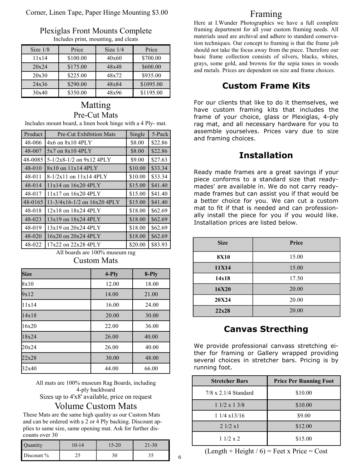#### Corner, Linen Tape, Paper Hinge Mounting \$3.00

| <b>Plexiglas Front Mounts Complete</b> |
|----------------------------------------|
| Includes print, mounting, and cleats   |

| Size $1/8$ | Price    | Size $1/4$ | Price     |
|------------|----------|------------|-----------|
| 11x14      | \$100.00 | 40x60      | \$700.00  |
| 20x24      | \$175.00 | 48x48      | \$600.00  |
| 20x30      | \$225.00 | 48x72      | \$935.00  |
| 24x36      | \$290.00 | 48x84      | \$1095.00 |
| 30x40      | \$350.00 | 48x96      | \$1195.00 |

# Matting Pre-Cut Mats

Includes mount board, a linen book hinge with a 4 Ply- mat.

| Product | <b>Pre-Cut Exhibition Mats</b>  | Single  | 5-Pack  |
|---------|---------------------------------|---------|---------|
| 48-006  | $4x6$ on $8x10$ $4PLY$          | \$8.00  | \$22.86 |
| 48-007  | $5x7$ on $8x10$ 4PLY            | \$8.00  | \$22.86 |
| 48-0085 | 5-1/2x8-1/2 on 9x12 4PLY        | \$9.00  | \$27.63 |
| 48-010  | $8x10$ on $11x14$ 4PLY          | \$10.00 | \$33.34 |
| 48-011  | 8-1/2x11 on 11x14 4PLY          | \$10.00 | \$33.34 |
| 48-014  | $11x14$ on $16x20$ $4PLY$       | \$15.00 | \$41.40 |
| 48-017  | $11x17$ on $16x20$ $4PLY$       | \$15.00 | \$41.40 |
| 48-0165 | $11-3/4x16-1/2$ on $16x20$ 4PLY | \$15.00 | \$41.40 |
| 48-018  | $12x18$ on $18x24$ 4PLY         | \$18.00 | \$62.69 |
| 48-023  | $13x19$ on $18x24$ $4PLY$       | \$18.00 | \$62.69 |
| 48-019  | 13x19 on 20x24 4PLY             | \$18.00 | \$62.69 |
| 48-020  | $16x20$ on $20x24$ $4PLY$       | \$18.00 | \$62.69 |
| 48-022  | 17x22 on 22x28 4PLY             | \$20.00 | \$83.93 |

### All boards are 100% museum rag Custom Mats

| <b>Size</b> | 4-Ply | $8-Ply$ |
|-------------|-------|---------|
| 8x10        | 12.00 | 18.00   |
| 9x12        | 14.00 | 21.00   |
| 11x14       | 16.00 | 24.00   |
| 14x18       | 20.00 | 30.00   |
| 16x20       | 22.00 | 36.00   |
| 18x24       | 26.00 | 40.00   |
| 20x24       | 26.00 | 40.00   |
| 22x28       | 30.00 | 48.00   |
| 32x40       | 44.00 | 66.00   |

All mats are 100% museum Rag Boards, including 4-ply backboard Sizes up to 4'x8' available, price on request

### Volume Custom Mats

These Mats are the same high quality as our Custom Mats and can be ordered with a 2 or 4 Ply backing. Discount applies to same size, same opening mat. Ask for further discounts over 30

| Quantity   | $0 - 14$ | $5 - 20$ | 1-30 |
|------------|----------|----------|------|
| Discount % | ں ک      |          |      |

### Framing

Here at I.Wunder Photographics we have a full complete framing department for all your custom framing needs. All materials used are archival and adhere to standard conservation techniques. Our concept to framing is that the frame job should not take the focus away from the piece. Therefore our basic frame collection consists of silvers, blacks, whites, grays, some gold, and browns for the sepia tones in woods and metals. Prices are dependent on size and frame choices.

# **Custom Frame Kits**

For our clients that like to do it themselves, we have custom framing kits that includes the frame of your choice, glass or Plexiglas, 4-ply rag mat, and all necessary hardware for you to assemble yourselves. Prices vary due to size and framing choices.

# **Installation**

Ready made frames are a great savings if your piece conforms to a standard size that readymades' are available in. We do not carry readymade frames but can assist you if that would be a better choice for you. We can cut a custom mat to fit if that is needed and can professionally install the piece for you if you would like. Installation prices are listed below.

| <b>Size</b> | Price |
|-------------|-------|
| <b>8X10</b> | 15.00 |
| 11X14       | 15.00 |
| 14x18       | 17.50 |
| 16X20       | 20.00 |
| 20X24       | 20.00 |
| 22x28       | 20.00 |

# **Canvas Strecthing**

We provide professional canvass stretching either for framing or Gallery wrapped providing several choices in stretcher bars. Pricing is by running foot.

| <b>Stretcher Bars</b>       | <b>Price Per Running Foot</b> |
|-----------------------------|-------------------------------|
| $7/8 \times 2.1/4$ Standard | \$10.00                       |
| $11/2 \times 13/8$          | \$10.00                       |
| $11/4 \times 13/16$         | \$9.00                        |
| 21/2 x1                     | \$12.00                       |
| 11/2 x 2                    | \$15.00                       |

 $(Length + Height / 6) = Feet x Price = Cost$ 

6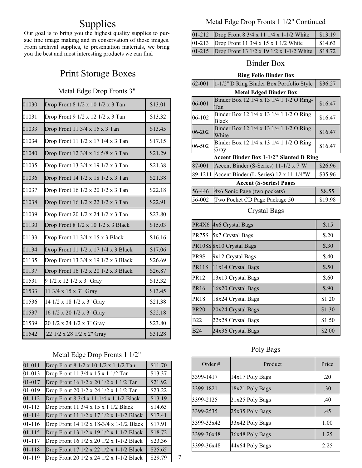# Supplies

Our goal is to bring you the highest quality supplies to pursue fine image making and in conservation of those images. From archival supplies, to presentation materials, we bring you the best and most interesting products we can find

# Print Storage Boxes

#### Metal Edge Drop Fronts 3"

| 01030 | Drop Front 8 1/2 x 10 1/2 x 3 Tan            | \$13.01 |
|-------|----------------------------------------------|---------|
| 01031 | Drop Front 9 1/2 x 12 1/2 x 3 Tan            | \$13.32 |
| 01033 | Drop Front 11 $3/4 \times 15 \times 3$ Tan   | \$13.45 |
| 01034 | Drop Front 11 1/2 x 17 1/4 x 3 Tan           | \$17.15 |
| 01040 | Drop Front 12 3/4 x 16 5/8 x 3 Tan           | \$21.29 |
| 01035 | Drop Front 13 3/4 x 19 1/2 x 3 Tan           | \$21.38 |
| 01036 | Drop Front 14 1/2 x 18 1/2 x 3 Tan           | \$21.38 |
| 01037 | Drop Front 16 1/2 x 20 1/2 x 3 Tan           | \$22.18 |
| 01038 | Drop Front 16 1/2 x 22 1/2 x 3 Tan           | \$22.91 |
| 01039 | Drop Front 20 1/2 x 24 1/2 x 3 Tan           | \$23.80 |
| 01130 | Drop Front 8 1/2 x 10 1/2 x 3 Black          | \$15.03 |
| 01133 | Drop Front 11 $3/4 \times 15 \times 3$ Black | \$16.16 |
| 01134 | Drop Front 11 1/2 x 17 1/4 x 3 Black         | \$17.06 |
| 01135 | Drop Front 13 3/4 x 19 1/2 x 3 Black         | \$26.69 |
| 01137 | Drop Front 16 1/2 x 20 1/2 x 3 Black         | \$26.87 |
| 01531 | 9 1/2 x 12 1/2 x 3" Gray                     | \$13.32 |
| 01533 | 11 3/4 x 15 x 3" Gray                        | \$13.45 |
| 01536 | 14 1/2 x 18 1/2 x 3" Gray                    | \$21.38 |
| 01537 | 16 1/2 x 20 1/2 x 3" Gray                    | \$22.18 |
| 01539 | 20 1/2 x 24 1/2 x 3" Gray                    | \$23.80 |
| 01542 | 22 1/2 x 28 1/2 x 2" Gray                    | \$31.28 |

### Metal Edge Drop Fronts 1 1/2"

| $01 - 011$ | Drop Front 8 1/2 x 10-1/2 x 1 1/2 Tan    | \$11.70 |
|------------|------------------------------------------|---------|
| 01-013     | Drop Front 11 3/4 x 15 x 1 1/2 Tan       | \$13.37 |
| 01-017     | Drop Front 16 1/2 x 20 1/2 x 1 1/2 Tan   | \$21.92 |
| 01-019     | Drop Front 20 1/2 x 24 1/2 x 1 1/2 Tan   | \$23.22 |
| 01-112     | Drop Front 8 3/4 x 11 1/4 x 1-1/2 Black  | \$13.19 |
| 01-113     | Drop Front 11 3/4 x 15 x 1 1/2 Black     | \$14.63 |
| $01 - 114$ | Drop Front 11 1/2 x 17 1/2 x 1-1/2 Black | \$17.41 |
| 01-116     | Drop Front 14 1/2 x 18-3/4 x 1-1/2 Black | \$17.91 |
| $01 - 115$ | Drop Front 13 1/2 x 19 1/2 x 1-1/2 Black | \$18.72 |
| 01-117     | Drop Front 16 1/2 x 20 1/2 x 1-1/2 Black | \$23.36 |
| 01-118     | Drop Front 17 1/2 x 22 1/2 x 1-1/2 Black | \$25.65 |
| 01-119     | Drop Front 20 1/2 x 24 1/2 x 1-1/2 Black | \$29.79 |

Metal Edge Drop Fronts 1 1/2" Continued

| $01 - 212$ | Drop Front $8\frac{3}{4} \times 11\frac{1}{4} \times 1 - \frac{1}{2}$ White | \$13.19 |
|------------|-----------------------------------------------------------------------------|---------|
|            | 01-213 Drop Front 11 3/4 x 15 x 1 1/2 White                                 | \$14.63 |
| $01 - 215$ | Drop Front 13 1/2 x 19 1/2 x 1-1/2 White \\$18.72                           |         |

### Binder Box

#### **Ring Folio Binder Box**

|  | 62-001   1-1/2" D Ring Binder Box Portfolio Style   \$36.27 |  |
|--|-------------------------------------------------------------|--|
|--|-------------------------------------------------------------|--|

| <b>Metal Edged Binder Box</b>                  |                                          |         |
|------------------------------------------------|------------------------------------------|---------|
| 06-001                                         | Binder Box 12 1/4 x 13 1/4 1 1/2 O Ring- | \$16.47 |
|                                                | Tan                                      |         |
| 06-102                                         | Binder Box 12 1/4 x 13 1/4 1 1/2 O Ring  | \$16.47 |
|                                                | Black                                    |         |
| 06-202                                         | Binder Box 12 1/4 x 13 1/4 1 1/2 O Ring  | \$16.47 |
|                                                | White                                    |         |
| 06-502                                         | Binder Box 12 1/4 x 13 1/4 1 1/2 O Ring  | \$16.47 |
|                                                | Grav                                     |         |
| <b>Accent Binder Box 1-1/2" Slanted D Ring</b> |                                          |         |
| 87-001                                         | Accent Binder (S-Series) 11-1/2 x 7"W    | \$26.96 |
| 89-1211                                        | Accent Binder (L-Series) 12 x 11-1/4"W   | \$35.96 |
| <b>Accent (S-Series) Pages</b>                 |                                          |         |
| 56-446                                         | 4x6 Sonic Page (two pockets)             | \$8.55  |
| 56-002                                         | Two Pocket CD Page Package 50            | \$19.98 |

#### Crystal Bags

| PR4X6            | 4x6 Crystal Bags        | \$.15  |
|------------------|-------------------------|--------|
| PR75S            | 5x7 Crystal Bags        | \$.20  |
|                  | PR108S8x10 Crystal Bags | \$.30  |
| PR9S             | 9x12 Crystal Bags       | \$.40  |
| PR11S            | 11x14 Crystal Bags      | \$.50  |
| PR <sub>12</sub> | 13x19 Crystal Bags      | \$.60  |
| <b>PR16</b>      | 16x20 Crystal Bags      | \$.90  |
| PR18             | 18x24 Crystal Bags      | \$1.20 |
| <b>PR20</b>      | 20x24 Crystal Bags      | \$1.30 |
| <b>B22</b>       | 22x28 Crystal Bags      | \$1.50 |
| <b>B24</b>       | 24x36 Crystal Bags      | \$2.00 |

#### Poly Bags

| Order $#$  | Product         | Price |
|------------|-----------------|-------|
| 3399-1417  | 14x17 Poly Bags | .20   |
| 3399-1821  | 18x21 Poly Bags | .30   |
| 3399-2125  | 21x25 Poly Bags | .40   |
| 3399-2535  | 25x35 Poly Bags | .45   |
| 3399-33x42 | 33x42 Poly Bags | 1.00  |
| 3399-36x48 | 36x48 Poly Bags | 1.25  |
| 3399-36x48 | 44x64 Poly Bags | 2.25  |

7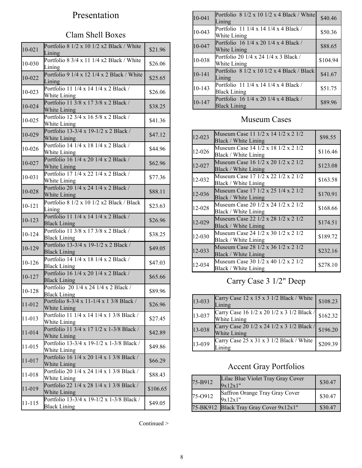# Presentation

# Clam Shell Boxes

| $10 - 021$ | Portfolio 8 1/2 x 10 1/2 x2 Black / White<br>Lining              | \$21.96  |
|------------|------------------------------------------------------------------|----------|
| 10-030     | Portfolio 8 3/4 x 11 1/4 x2 Black / White<br>Lining              | \$26.06  |
| 10-022     | Portfolio 9 1/4 x 12 1/4 x 2 Black / White<br>Lining             | \$25.65  |
| 10-023     | Portfolio 11 1/4 x 14 1/4 x 2 Black /<br>White Lining            | \$26.06  |
| 10-024     | Portfolio 11 3/8 x 17 3/8 x 2 Black /<br>White Lining            | \$38.25  |
| 10-025     | Portfolio 12 3/4 x 16 5/8 x 2 Black /<br>White Lining            | \$41.36  |
| 10-029     | Portfolio 13-3/4 x 19-1/2 x 2 Black /<br>White Lining            | \$47.12  |
| 10-026     | Portfolio 14 1/4 x 18 1/4 x 2 Black /<br>White Lining            | \$44.96  |
| 10-027     | Portfolio 16 1/4 x 20 1/4 x 2 Black /<br>White Lining            | \$62.96  |
| $10 - 031$ | Portfolio 17 1/4 x 22 1/4 x 2 Black /<br>White Lining            | \$77.36  |
| 10-028     | Portfolio 20 1/4 x 24 1/4 x 2 Black /<br>White Lining            | \$88.11  |
| 10-121     | Portfolio 8 1/2 x 10 1/2 x2 Black / Black<br>Lining              | \$23.63  |
| 10-123     | Portfolio 11 1/4 x 14 1/4 x 2 Black /<br><b>Black Lining</b>     | \$26.96  |
| 10-124     | Portfolio 11 3/8 x 17 3/8 x 2 Black /<br><b>Black Lining</b>     | \$38.25  |
| 10-129     | Portfolio 13-3/4 x 19-1/2 x 2 Black /<br><b>Black Lining</b>     | \$49.05  |
| 10-126     | Portfolio 14 1/4 x 18 1/4 x 2 Black /<br><b>Black Lining</b>     | \$47.03  |
| 10-127     | Portfolio 16 1/4 x 20 1/4 x 2 Black /<br><b>Black Lining</b>     | \$65.66  |
| 10-128     | Portfolio 20 1/4 x 24 1/4 x 2 Black /<br><b>Black Lining</b>     | \$89.96  |
| 11-012     | Portfolio 8-3/4 x 11-1/4 x 1 3/8 Black /<br>White Lining         | \$26.96  |
| 11-013     | Portfolio 11 1/4 x 14 1/4 x 1 3/8 Black /<br>White Lining        | \$27.45  |
| 11-014     | Portfolio 11 3/4 x 17 1/2 x 1-3/8 Black /<br>White Lining        | \$42.89  |
| 11-015     | Portfolio 13-3/4 x 19-1/2 x 1-3/8 Black /<br>White Lining        | \$49.86  |
| 11-017     | Portfolio 16 1/4 x 20 1/4 x 1 3/8 Black /<br>White Lining        | \$66.29  |
| 11-018     | Portfolio 20 1/4 x 24 1/4 x 1 3/8 Black /<br>White Lining        | \$88.43  |
| 11-019     | Portfolio 22 1/4 x 28 1/4 x 1 3/8 Black /<br>White Lining        | \$106.65 |
| 11-115     | Portfolio 13-3/4 x 19-1/2 x 1-3/8 Black /<br><b>Black Lining</b> | \$49.05  |

|  | Continued > |  |
|--|-------------|--|
|--|-------------|--|

| 10-041     | Portfolio $81/2 \times 101/2 \times 4$ Black / White<br>Lining | \$40.46  |
|------------|----------------------------------------------------------------|----------|
| 10-043     | Portfolio 11 1/4 x 14 1/4 x 4 Black /<br>White Lining          | \$50.36  |
| 10-047     | Portfolio 16 1/4 x 20 1/4 x 4 Black /<br>White Lining          | \$88.65  |
| 10-038     | Portfolio 20 1/4 x 24 1/4 x 3 Black /<br>White Lining          | \$104.94 |
| $10 - 141$ | Portfolio $81/2 \times 101/2 \times 4$ Black / Black<br>Lining | \$41.67  |
| 10-143     | Portfolio 11 1/4 x 14 1/4 x 4 Black /<br><b>Black Lining</b>   | \$51.75  |
| 10-147     | Portfolio 16 1/4 x 20 1/4 x 4 Black /<br><b>Black Lining</b>   | \$89.96  |

# Museum Cases

| 12-023 | Museum Case 11 1/2 x 14 1/2 x 2 1/2<br>Black / White Lining | \$98.55  |
|--------|-------------------------------------------------------------|----------|
| 12-026 | Museum Case 14 1/2 x 18 1/2 x 2 1/2<br>Black / White Lining | \$116.46 |
| 12-027 | Museum Case 16 1/2 x 20 1/2 x 2 1/2<br>Black / White Lining | \$123.08 |
| 12-032 | Museum Case 17 1/2 x 22 1/2 x 2 1/2<br>Black / White Lining | \$163.58 |
| 12-036 | Museum Case 17 1/2 x 25 1/4 x 2 1/2<br>Black / White Lining | \$170.91 |
| 12-028 | Museum Case 20 1/2 x 24 1/2 x 2 1/2<br>Black / White Lining | \$168.66 |
| 12-029 | Museum Case 22 1/2 x 28 1/2 x 2 1/2<br>Black / White Lining | \$174.51 |
| 12-030 | Museum Case 24 1/2 x 30 1/2 x 2 1/2<br>Black / White Lining | \$189.72 |
| 12-033 | Museum Case 28 1/2 x 36 1/2 x 2 1/2<br>Black / White Lining | \$232.16 |
| 12-034 | Museum Case 30 1/2 x 40 1/2 x 2 1/2<br>Black / White Lining | \$278.10 |

# Carry Case 3 1/2" Deep

| 13-033 | Carry Case 12 x 15 x 3 1/2 Black / White<br>Lining         | \$108.23 |
|--------|------------------------------------------------------------|----------|
| 13-037 | Carry Case 16 1/2 x 20 1/2 x 3 1/2 Black /<br>White Lining | \$162.32 |
| 13-038 | Carry Case 20 1/2 x 24 1/2 x 3 1/2 Black /<br>White Lining | \$196.20 |
| 13-039 | Carry Case 25 x 31 x 3 1/2 Black / White                   | \$209.39 |

# Accent Gray Portfolios

| 75-B912 | Lilac Blue Violet Tray Gray Cover<br>9x12x1" | \$30.47 |
|---------|----------------------------------------------|---------|
| 75-O912 | Saffron Orange Tray Gray Cover<br>9x12x1"    | \$30.47 |
|         | 75-BK912 Black Tray Gray Cover 9x12x1"       | \$30.47 |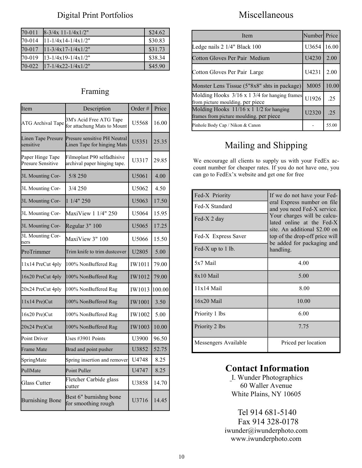### Digital Print Portfolios

| 70-011 | $8-3/4x$ 11-1/4x1/2"                    | \$24.62 |
|--------|-----------------------------------------|---------|
| 70-014 | $11 - 1/4x14 - 1/4x1/2"$                | \$30.83 |
| 70-017 | $11-3/4x17-1/4x1/2"$                    | \$31.73 |
| 70-019 | $13 - 1/4x19 - 1/4x1/2"$                | \$38.34 |
| 70-022 | $17 - 1/4 \times 22 - 1/4 \times 1/2$ " | \$45.90 |

### Framing

| Item                                         | Description                                                 | Order#            | Price  |
|----------------------------------------------|-------------------------------------------------------------|-------------------|--------|
| ATG Archival Tape                            | 3M's Acid Free ATG Tape<br>for attachung Mats to Mount      | U5568             | 16.00  |
| Linen Tape Presure<br>sensitive              | Presure sensitive PH Neutral<br>Linen Tape for hinging Mats | U <sub>5351</sub> | 25.35  |
| Paper Hinge Tape<br><b>Presure Sensitive</b> | Filmoplast P90 selfadhisive<br>archival paper hinging tape. | U3317             | 29.85  |
| 3L Mounting Cor-                             | 5/8 250                                                     | U5061             | 4.00   |
| 3L Mounting Cor-                             | 3/4 250                                                     | U5062             | 4.50   |
| 3L Mounting Cor-                             | 1 1/4" 250                                                  | U5063             | 17.50  |
| 3L Mounting Cor-                             | MaxiView 1 1/4" 250                                         | U <sub>5064</sub> | 15.95  |
| 3L Mounting Cor-                             | Regular 3" 100                                              | U5065             | 17.25  |
| 3L Mounting Cor-<br>ners                     | MaxiView 3" 100                                             | U5066             | 15.50  |
| ProTrimmer                                   | Trim knife to trim dustcover                                | U2805             | 5.00   |
| 11x14 PreCut 4ply                            | 100% NonBuffered Rag                                        | IW1011            | 79.00  |
| 16x20 PreCut 4ply                            | 100% NonBuffered Rag                                        | IW1012            | 79.00  |
| 20x24 PreCut 4ply                            | 100% NonBuffered Rag                                        | IW1013            | 100.00 |
| $11x14$ Pre)Cut                              | 100% NonBuffered Rag                                        | <b>IW1001</b>     | 3.50   |
| 16x20 Pre)Cut                                | 100% NonBuffered Rag                                        | IW1002            | 5.00   |
| 20x24 Pre)Cut                                | 100% NonBuffered Rag                                        | IW1003            | 10.00  |
| Point Driver                                 | Uses #3901 Points                                           | U3900             | 96.50  |
| Frame Mate                                   | Brad and point pusher                                       | U3852             | 52.75  |
| SpringMate                                   | Spring insertion and remover                                | U4748             | 8.25   |
| PullMate                                     | <b>Point Puller</b>                                         | U4747             | 8.25   |
| Glass Cutter                                 | Fletcher Carbide glass<br>cutter                            | U3858             | 14.70  |
| <b>Burnishing Bone</b>                       | Best 6" burnishng bone<br>for smoothing rough               | U3716             | 14.45  |

# Miscellaneous

| Item                                                                                     | Number Price      |       |
|------------------------------------------------------------------------------------------|-------------------|-------|
| Ledge nails 2 1/4" Black 100                                                             | U3654             | 16.00 |
| Cotton Gloves Per Pair Medium                                                            | U4230             | 2.00  |
| Cotton Gloves Per Pair Large                                                             | U4231             | 2.00  |
| Monster Lens Tissue (5"8x8" shts in package)                                             | M005              | 10.00 |
| Molding Hooks $3/16 \times 13/4$ for hanging frames<br>from picture moulding, per piece  | U1926             | 25    |
| Molding Hooks $11/16 \times 11/2$ for hanging<br>frames from picture moulding, per piece | U <sub>2320</sub> | 25    |
| Pinhole Body Cap / Nikon & Canon                                                         |                   | 55.00 |

# Mailing and Shipping

We encourage all clients to supply us with your FedEx account number for cheaper rates. If you do not have one, you can go to FedEx'x website and get one for free

| Fed-X Priority       | If we do not have your Fed-<br>eral Express number on file<br>and you need Fed-X service.<br>Your charges will be calcu-<br>lated online at the Fed-X<br>site. An additional \$2.00 on |  |
|----------------------|----------------------------------------------------------------------------------------------------------------------------------------------------------------------------------------|--|
| Fed-X Standard       |                                                                                                                                                                                        |  |
| Fed-X 2 day          |                                                                                                                                                                                        |  |
| Fed-X Express Saver  | top of the drop-off price will<br>be added for packaging and                                                                                                                           |  |
| Fed-X up to 1 lb.    | handling.                                                                                                                                                                              |  |
| 5x7 Mail             | 4.00                                                                                                                                                                                   |  |
| $8x10$ Mail          | 5.00                                                                                                                                                                                   |  |
| $11x14$ Mail         | 8.00                                                                                                                                                                                   |  |
| 16x20 Mail           | 10.00                                                                                                                                                                                  |  |
| Priority 1 lbs       | 6.00                                                                                                                                                                                   |  |
| Priority 2 lbs       | 7.75                                                                                                                                                                                   |  |
| Messengers Available | Priced per location                                                                                                                                                                    |  |

# **Contact Information**

I. Wunder Photographics 60 Waller Avenue White Plains, NY 10605

 Tel 914 681-5140 Fax 914 328-0178 iwunder@iwunderphoto.com www.iwunderphoto.com